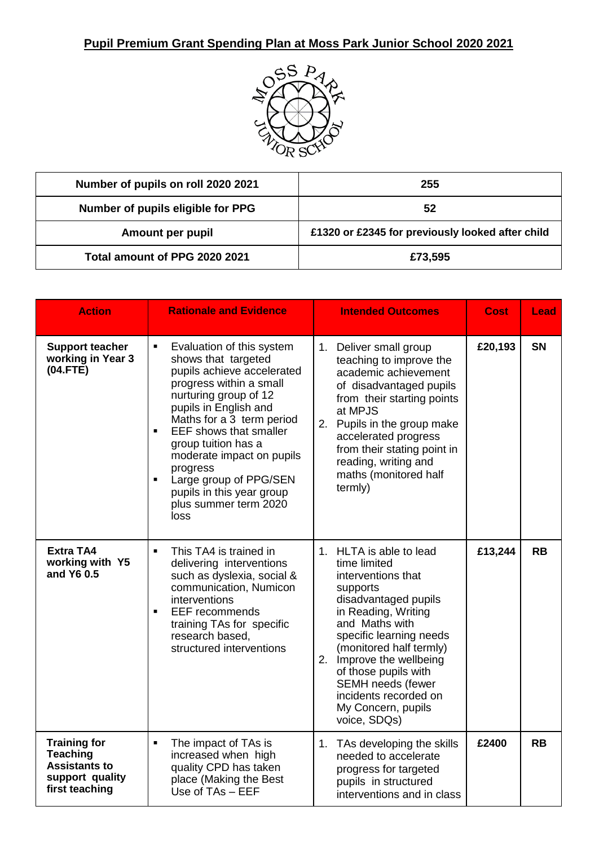

| Number of pupils on roll 2020 2021 | 255                                              |
|------------------------------------|--------------------------------------------------|
| Number of pupils eligible for PPG  | 52                                               |
| Amount per pupil                   | £1320 or £2345 for previously looked after child |
| Total amount of PPG 2020 2021      | £73,595                                          |

| <b>Action</b>                                                                                       | <b>Rationale and Evidence</b>                                                                                                                                                                                                                                                                                                                                                                                              | <b>Intended Outcomes</b>                                                                                                                                                                                                                                                                                                                           | <b>Cost</b> | Lead      |
|-----------------------------------------------------------------------------------------------------|----------------------------------------------------------------------------------------------------------------------------------------------------------------------------------------------------------------------------------------------------------------------------------------------------------------------------------------------------------------------------------------------------------------------------|----------------------------------------------------------------------------------------------------------------------------------------------------------------------------------------------------------------------------------------------------------------------------------------------------------------------------------------------------|-------------|-----------|
| <b>Support teacher</b><br>working in Year 3<br>(04.FTE)                                             | Evaluation of this system<br>٠<br>shows that targeted<br>pupils achieve accelerated<br>progress within a small<br>nurturing group of 12<br>pupils in English and<br>Maths for a 3 term period<br><b>EEF</b> shows that smaller<br>$\blacksquare$<br>group tuition has a<br>moderate impact on pupils<br>progress<br>Large group of PPG/SEN<br>$\blacksquare$<br>pupils in this year group<br>plus summer term 2020<br>loss | 1. Deliver small group<br>teaching to improve the<br>academic achievement<br>of disadvantaged pupils<br>from their starting points<br>at MPJS<br>2. Pupils in the group make<br>accelerated progress<br>from their stating point in<br>reading, writing and<br>maths (monitored half<br>termly)                                                    | £20,193     | SN        |
| <b>Extra TA4</b><br>working with Y5<br>and Y6 0.5                                                   | This TA4 is trained in<br>$\blacksquare$<br>delivering interventions<br>such as dyslexia, social &<br>communication, Numicon<br>interventions<br><b>EEF</b> recommends<br>$\blacksquare$<br>training TAs for specific<br>research based,<br>structured interventions                                                                                                                                                       | 1. HLTA is able to lead<br>time limited<br>interventions that<br>supports<br>disadvantaged pupils<br>in Reading, Writing<br>and Maths with<br>specific learning needs<br>(monitored half termly)<br>2.<br>Improve the wellbeing<br>of those pupils with<br><b>SEMH</b> needs (fewer<br>incidents recorded on<br>My Concern, pupils<br>voice, SDQs) | £13,244     | <b>RB</b> |
| <b>Training for</b><br><b>Teaching</b><br><b>Assistants to</b><br>support quality<br>first teaching | The impact of TAs is<br>$\blacksquare$<br>increased when high<br>quality CPD has taken<br>place (Making the Best<br>Use of TAs - EEF                                                                                                                                                                                                                                                                                       | 1. TAs developing the skills<br>needed to accelerate<br>progress for targeted<br>pupils in structured<br>interventions and in class                                                                                                                                                                                                                | £2400       | <b>RB</b> |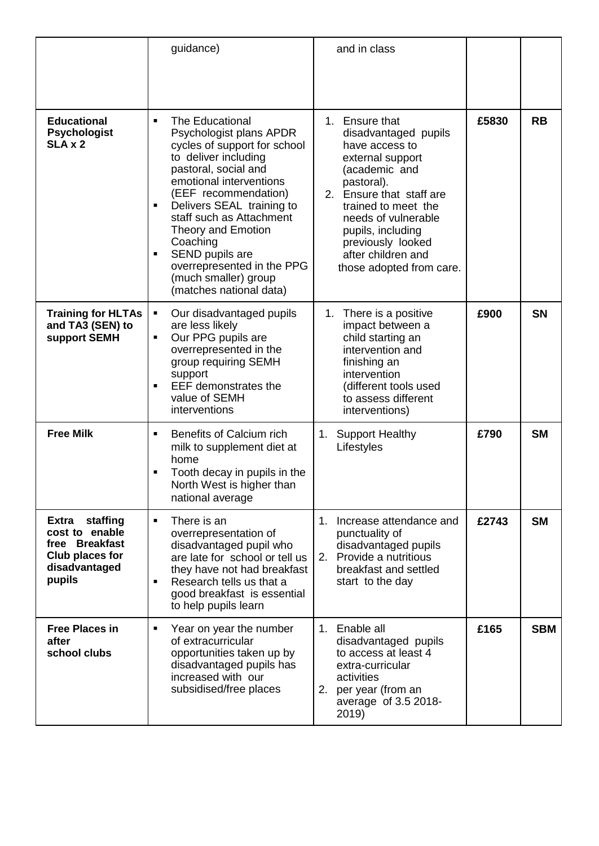|                                                                                                     | guidance)                                                                                                                                                                                                                                                                                                                                                                                                              | and in class                                                                                                                                                                                                                                                                         |       |            |
|-----------------------------------------------------------------------------------------------------|------------------------------------------------------------------------------------------------------------------------------------------------------------------------------------------------------------------------------------------------------------------------------------------------------------------------------------------------------------------------------------------------------------------------|--------------------------------------------------------------------------------------------------------------------------------------------------------------------------------------------------------------------------------------------------------------------------------------|-------|------------|
|                                                                                                     |                                                                                                                                                                                                                                                                                                                                                                                                                        |                                                                                                                                                                                                                                                                                      |       |            |
| <b>Educational</b><br><b>Psychologist</b><br>SLA x 2                                                | <b>The Educational</b><br>$\blacksquare$<br>Psychologist plans APDR<br>cycles of support for school<br>to deliver including<br>pastoral, social and<br>emotional interventions<br>(EEF recommendation)<br>Delivers SEAL training to<br>Ξ<br>staff such as Attachment<br><b>Theory and Emotion</b><br>Coaching<br>SEND pupils are<br>Ξ<br>overrepresented in the PPG<br>(much smaller) group<br>(matches national data) | 1. Ensure that<br>disadvantaged pupils<br>have access to<br>external support<br>(academic and<br>pastoral).<br>2.<br>Ensure that staff are<br>trained to meet the<br>needs of vulnerable<br>pupils, including<br>previously looked<br>after children and<br>those adopted from care. | £5830 | <b>RB</b>  |
| <b>Training for HLTAs</b><br>and TA3 (SEN) to<br>support SEMH                                       | Our disadvantaged pupils<br>٠<br>are less likely<br>Our PPG pupils are<br>Ξ<br>overrepresented in the<br>group requiring SEMH<br>support<br>EEF demonstrates the<br>$\blacksquare$<br>value of SEMH<br>interventions                                                                                                                                                                                                   | There is a positive<br>1.<br>impact between a<br>child starting an<br>intervention and<br>finishing an<br>intervention<br>(different tools used<br>to assess different<br>interventions)                                                                                             | £900  | <b>SN</b>  |
| <b>Free Milk</b>                                                                                    | Benefits of Calcium rich<br>$\blacksquare$<br>milk to supplement diet at<br>home<br>Tooth decay in pupils in the<br>North West is higher than<br>national average                                                                                                                                                                                                                                                      | <b>Support Healthy</b><br>$1_{\cdot}$<br>Lifestyles                                                                                                                                                                                                                                  | £790  | <b>SM</b>  |
| staffing<br>Extra<br>cost to enable<br>free Breakfast<br>Club places for<br>disadvantaged<br>pupils | There is an<br>$\blacksquare$<br>overrepresentation of<br>disadvantaged pupil who<br>are late for school or tell us<br>they have not had breakfast<br>Research tells us that a<br>good breakfast is essential<br>to help pupils learn                                                                                                                                                                                  | Increase attendance and<br>1.<br>punctuality of<br>disadvantaged pupils<br>Provide a nutritious<br>2.<br>breakfast and settled<br>start to the day                                                                                                                                   | £2743 | <b>SM</b>  |
| <b>Free Places in</b><br>after<br>school clubs                                                      | Year on year the number<br>п<br>of extracurricular<br>opportunities taken up by<br>disadvantaged pupils has<br>increased with our<br>subsidised/free places                                                                                                                                                                                                                                                            | Enable all<br>$1_{\cdot}$<br>disadvantaged pupils<br>to access at least 4<br>extra-curricular<br>activities<br>2.<br>per year (from an<br>average of 3.5 2018-<br>2019)                                                                                                              | £165  | <b>SBM</b> |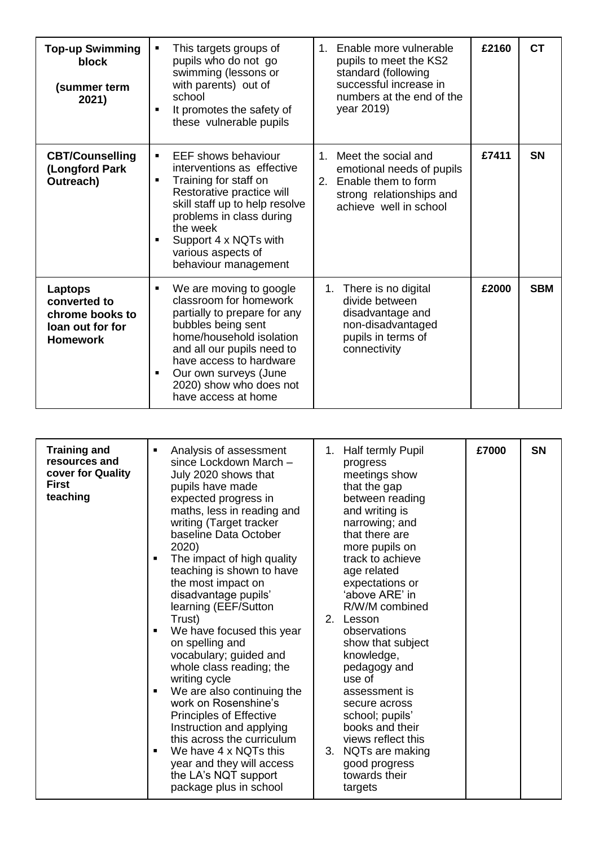| <b>Top-up Swimming</b><br>block<br>(summer term<br>2021)                          | This targets groups of<br>pupils who do not go<br>swimming (lessons or<br>with parents) out of<br>school<br>It promotes the safety of<br>$\blacksquare$<br>these vulnerable pupils                                                                                                                  | Enable more vulnerable<br>$1_{-}$<br>pupils to meet the KS2<br>standard (following<br>successful increase in<br>numbers at the end of the<br>year 2019) | £2160 | <b>CT</b>  |
|-----------------------------------------------------------------------------------|-----------------------------------------------------------------------------------------------------------------------------------------------------------------------------------------------------------------------------------------------------------------------------------------------------|---------------------------------------------------------------------------------------------------------------------------------------------------------|-------|------------|
| <b>CBT/Counselling</b><br>(Longford Park<br>Outreach)                             | <b>EEF shows behaviour</b><br>$\blacksquare$<br>interventions as effective<br>Training for staff on<br>$\blacksquare$<br>Restorative practice will<br>skill staff up to help resolve<br>problems in class during<br>the week<br>Support 4 x NQTs with<br>various aspects of<br>behaviour management | 1 <sup>1</sup><br>Meet the social and<br>emotional needs of pupils<br>Enable them to form<br>2.<br>strong relationships and<br>achieve well in school   | £7411 | <b>SN</b>  |
| Laptops<br>converted to<br>chrome books to<br>loan out for for<br><b>Homework</b> | We are moving to google<br>п<br>classroom for homework<br>partially to prepare for any<br>bubbles being sent<br>home/household isolation<br>and all our pupils need to<br>have access to hardware<br>Our own surveys (June<br>2020) show who does not<br>have access at home                        | There is no digital<br>1.<br>divide between<br>disadvantage and<br>non-disadvantaged<br>pupils in terms of<br>connectivity                              | £2000 | <b>SBM</b> |

| <b>Training and</b><br>resources and<br>cover for Quality<br><b>First</b><br>teaching | Analysis of assessment<br>since Lockdown March -<br>July 2020 shows that<br>pupils have made<br>expected progress in<br>maths, less in reading and<br>writing (Target tracker<br>baseline Data October                                                                                                                                                                                                                    | 1. Half termly Pupil<br>progress<br>meetings show<br>that the gap<br>between reading<br>and writing is<br>narrowing; and<br>that there are                                                                                                                                                       | £7000 | <b>SN</b> |
|---------------------------------------------------------------------------------------|---------------------------------------------------------------------------------------------------------------------------------------------------------------------------------------------------------------------------------------------------------------------------------------------------------------------------------------------------------------------------------------------------------------------------|--------------------------------------------------------------------------------------------------------------------------------------------------------------------------------------------------------------------------------------------------------------------------------------------------|-------|-----------|
|                                                                                       | 2020)<br>The impact of high quality<br>teaching is shown to have<br>the most impact on<br>disadvantage pupils'<br>learning (EEF/Sutton<br>Trust)<br>We have focused this year<br>on spelling and<br>vocabulary; guided and<br>whole class reading; the<br>writing cycle<br>We are also continuing the<br>work on Rosenshine's<br><b>Principles of Effective</b><br>Instruction and applying<br>this across the curriculum | more pupils on<br>track to achieve<br>age related<br>expectations or<br>'above ARE' in<br>R/W/M combined<br>2. Lesson<br>observations<br>show that subject<br>knowledge,<br>pedagogy and<br>use of<br>assessment is<br>secure across<br>school; pupils'<br>books and their<br>views reflect this |       |           |
|                                                                                       | We have 4 x NQTs this<br>year and they will access<br>the LA's NQT support<br>package plus in school                                                                                                                                                                                                                                                                                                                      | NQTs are making<br>3.<br>good progress<br>towards their<br>targets                                                                                                                                                                                                                               |       |           |